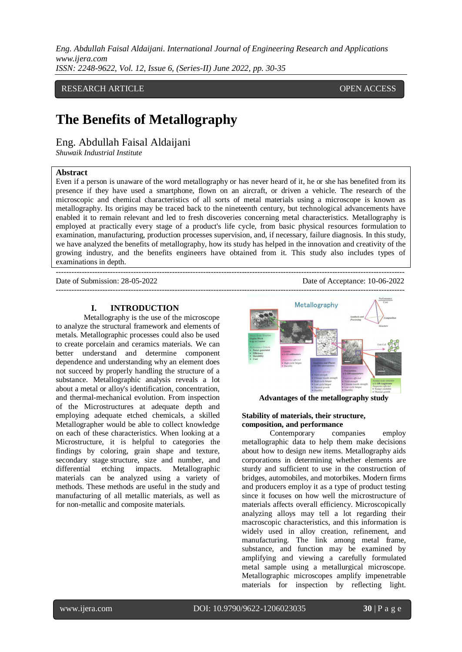RESEARCH ARTICLE **CONTRACT ARTICLE** AND A SERVICE OPEN ACCESS OF A SERVICE OF A SERVICE OPEN ACCESS OF A SERVICE OF A SERVICE OF A SERVICE OF A SERVICE OF A SERVICE OF A SERVICE OF A SERVICE OF A SERVICE OF A SERVICE OF A

# **The Benefits of Metallography**

Eng. Abdullah Faisal Aldaijani

*Shuwaik Industrial Institute*

#### **Abstract**

Even if a person is unaware of the word metallography or has never heard of it, he or she has benefited from its presence if they have used a smartphone, flown on an aircraft, or driven a vehicle. The research of the microscopic and chemical characteristics of all sorts of metal materials using a microscope is known as metallography. Its origins may be traced back to the nineteenth century, but technological advancements have enabled it to remain relevant and led to fresh discoveries concerning metal characteristics. Metallography is employed at practically every stage of a product's life cycle, from basic physical resources formulation to examination, manufacturing, production processes supervision, and, if necessary, failure diagnosis. In this study, we have analyzed the benefits of metallography, how its study has helped in the innovation and creativity of the growing industry, and the benefits engineers have obtained from it. This study also includes types of examinations in depth.

---------------------------------------------------------------------------------------------------------------------------------------

Date of Submission: 28-05-2022 Date of Acceptance: 10-06-2022

**I. INTRODUCTION**

Metallography is the use of the microscope to analyze the structural framework and elements of metals. Metallographic processes could also be used to create porcelain and ceramics materials. We can better understand and determine component dependence and understanding why an element does not succeed by properly handling the structure of a substance. Metallographic analysis reveals a lot about a metal or alloy's identification, concentration, and thermal-mechanical evolution. From inspection of the Microstructures at adequate depth and employing adequate etched chemicals, a skilled Metallographer would be able to collect knowledge on each of these characteristics. When looking at a Microstructure, it is helpful to categories the findings by coloring, grain shape and texture, secondary stage structure, size and number, and differential etching impacts. Metallographic materials can be analyzed using a variety of methods. These methods are useful in the study and manufacturing of all metallic materials, as well as for non-metallic and composite materials.

--------------------------------------------------------------------------------------------------------------------------------------- Performance Metallography **Advantages of the metallography study**

### **Stability of materials, their structure, composition, and performance**

Contemporary companies employ metallographic data to help them make decisions about how to design new items. Metallography aids corporations in determining whether elements are sturdy and sufficient to use in the construction of bridges, automobiles, and motorbikes. Modern firms and producers employ it as a type of product testing since it focuses on how well the microstructure of materials affects overall efficiency. Microscopically analyzing alloys may tell a lot regarding their macroscopic characteristics, and this information is widely used in alloy creation, refinement, and manufacturing. The link among metal frame, substance, and function may be examined by amplifying and viewing a carefully formulated metal sample using a metallurgical microscope. Metallographic microscopes amplify impenetrable materials for inspection by reflecting light.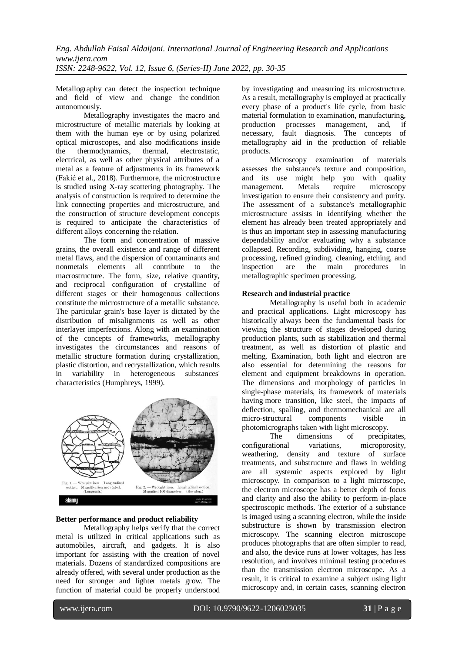Metallography can detect the inspection technique and field of view and change the condition autonomously.

Metallography investigates the macro and microstructure of metallic materials by looking at them with the human eye or by using polarized optical microscopes, and also modifications inside the thermodynamics, thermal, electrostatic, electrical, as well as other physical attributes of a metal as a feature of adjustments in its framework (Fakić et al., 2018). Furthermore, the microstructure is studied using X-ray scattering photography. The analysis of construction is required to determine the link connecting properties and microstructure, and the construction of structure development concepts is required to anticipate the characteristics of different alloys concerning the relation.

The form and concentration of massive grains, the overall existence and range of different metal flaws, and the dispersion of contaminants and nonmetals elements all contribute to the macrostructure. The form, size, relative quantity, and reciprocal configuration of crystalline of different stages or their homogenous collections constitute the microstructure of a metallic substance. The particular grain's base layer is dictated by the distribution of misalignments as well as other interlayer imperfections. Along with an examination of the concepts of frameworks, metallography investigates the circumstances and reasons of metallic structure formation during crystallization, plastic distortion, and recrystallization, which results in variability in heterogeneous substances' characteristics (Humphreys, 1999).



#### **Better performance and product reliability**

Metallography helps verify that the correct metal is utilized in critical applications such as automobiles, aircraft, and gadgets. It is also important for assisting with the creation of novel materials. Dozens of standardized compositions are already offered, with several under production as the need for stronger and lighter metals grow. The function of material could be properly understood by investigating and measuring its microstructure. As a result, metallography is employed at practically every phase of a product's life cycle, from basic material formulation to examination, manufacturing, production processes management, and, if necessary, fault diagnosis. The concepts of metallography aid in the production of reliable products.

Microscopy examination of materials assesses the substance's texture and composition, and its use might help you with quality management. Metals require microscopy investigation to ensure their consistency and purity. The assessment of a substance's metallographic microstructure assists in identifying whether the element has already been treated appropriately and is thus an important step in assessing manufacturing dependability and/or evaluating why a substance collapsed. Recording, subdividing, hanging, coarse processing, refined grinding, cleaning, etching, and inspection are the main procedures in metallographic specimen processing.

#### **Research and industrial practice**

Metallography is useful both in academic and practical applications. Light microscopy has historically always been the fundamental basis for viewing the structure of stages developed during production plants, such as stabilization and thermal treatment, as well as distortion of plastic and melting. Examination, both light and electron are also essential for determining the reasons for element and equipment breakdowns in operation. The dimensions and morphology of particles in single-phase materials, its framework of materials having more transition, like steel, the impacts of deflection, spalling, and thermomechanical are all micro-structural components visible in photomicrographs taken with light microscopy.

The dimensions of precipitates, configurational variations, microporosity, weathering, density and texture of surface treatments, and substructure and flaws in welding are all systemic aspects explored by light microscopy. In comparison to a light microscope, the electron microscope has a better depth of focus and clarity and also the ability to perform in-place spectroscopic methods. The exterior of a substance is imaged using a scanning electron, while the inside substructure is shown by transmission electron microscopy. The scanning electron microscope produces photographs that are often simpler to read, and also, the device runs at lower voltages, has less resolution, and involves minimal testing procedures than the transmission electron microscope. As a result, it is critical to examine a subject using light microscopy and, in certain cases, scanning electron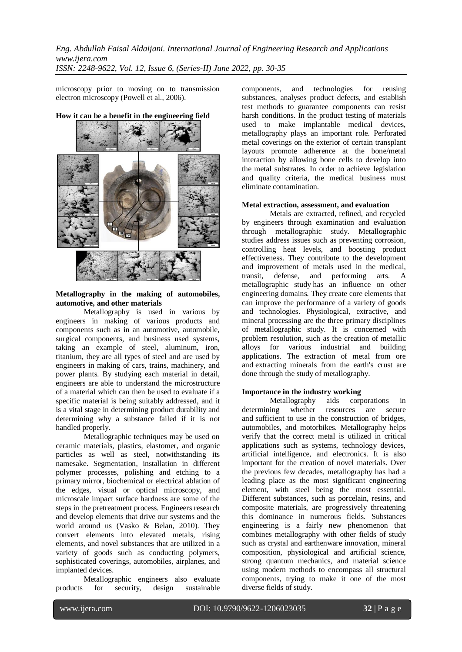microscopy prior to moving on to transmission electron microscopy (Powell et al., 2006).



## **How it can be a benefit in the engineering field**

#### **Metallography in the making of automobiles, automotive, and other materials**

Metallography is used in various by engineers in making of various products and components such as in an automotive, automobile, surgical components, and business used systems, taking an example of steel, aluminum, iron, titanium, they are all types of steel and are used by engineers in making of cars, trains, machinery, and power plants. By studying each material in detail, engineers are able to understand the microstructure of a material which can then be used to evaluate if a specific material is being suitably addressed, and it is a vital stage in determining product durability and determining why a substance failed if it is not handled properly.

Metallographic techniques may be used on ceramic materials, plastics, elastomer, and organic particles as well as steel, notwithstanding its namesake. Segmentation, installation in different polymer processes, polishing and etching to a primary mirror, biochemical or electrical ablation of the edges, visual or optical microscopy, and microscale impact surface hardness are some of the steps in the pretreatment process. Engineers research and develop elements that drive our systems and the world around us (Vasko & Belan, 2010). They convert elements into elevated metals, rising elements, and novel substances that are utilized in a variety of goods such as conducting polymers, sophisticated coverings, automobiles, airplanes, and implanted devices.

Metallographic engineers also evaluate<br>for security, design sustainable products for security, design sustainable

components, and technologies for reusing substances, analyses product defects, and establish test methods to guarantee components can resist harsh conditions. In the product testing of materials used to make implantable medical devices, metallography plays an important role. Perforated metal coverings on the exterior of certain transplant layouts promote adherence at the bone/metal interaction by allowing bone cells to develop into the metal substrates. In order to achieve legislation and quality criteria, the medical business must eliminate contamination.

### **Metal extraction, assessment, and evaluation**

Metals are extracted, refined, and recycled by engineers through examination and evaluation through metallographic study. Metallographic studies address issues such as preventing corrosion, controlling heat levels, and boosting product effectiveness. They contribute to the development and improvement of metals used in the medical, transit, defense, and performing arts. A metallographic study has an influence on other engineering domains. They create core elements that can improve the performance of a variety of goods and technologies. Physiological, extractive, and mineral processing are the three primary disciplines of metallographic study. It is concerned with problem resolution, such as the creation of metallic alloys for various industrial and building applications. The extraction of metal from ore and extracting minerals from the earth's crust are done through the study of metallography.

## **Importance in the industry working**

Metallography aids corporations in determining whether resources are secure and sufficient to use in the construction of bridges, automobiles, and motorbikes. Metallography helps verify that the correct metal is utilized in critical applications such as systems, technology devices, artificial intelligence, and electronics. It is also important for the creation of novel materials. Over the previous few decades, metallography has had a leading place as the most significant engineering element, with steel being the most essential. Different substances, such as porcelain, resins, and composite materials, are progressively threatening this dominance in numerous fields. Substances engineering is a fairly new phenomenon that combines metallography with other fields of study such as crystal and earthenware innovation, mineral composition, physiological and artificial science, strong quantum mechanics, and material science using modern methods to encompass all structural components, trying to make it one of the most diverse fields of study.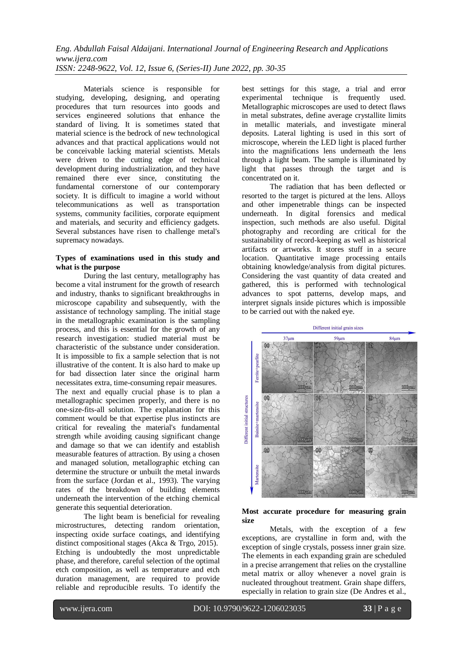Materials science is responsible for studying, developing, designing, and operating procedures that turn resources into goods and services engineered solutions that enhance the standard of living. It is sometimes stated that material science is the bedrock of new technological advances and that practical applications would not be conceivable lacking material scientists. Metals were driven to the cutting edge of technical development during industrialization, and they have remained there ever since, constituting the fundamental cornerstone of our contemporary society. It is difficult to imagine a world without telecommunications as well as transportation systems, community facilities, corporate equipment and materials, and security and efficiency gadgets. Several substances have risen to challenge metal's supremacy nowadays.

#### **Types of examinations used in this study and what is the purpose**

During the last century, metallography has become a vital instrument for the growth of research and industry, thanks to significant breakthroughs in microscope capability and subsequently, with the assistance of technology sampling. The initial stage in the metallographic examination is the sampling process, and this is essential for the growth of any research investigation: studied material must be characteristic of the substance under consideration. It is impossible to fix a sample selection that is not illustrative of the content. It is also hard to make up for bad dissection later since the original harm necessitates extra, time-consuming repair measures.

The next and equally crucial phase is to plan a metallographic specimen properly, and there is no one-size-fits-all solution. The explanation for this comment would be that expertise plus instincts are critical for revealing the material's fundamental strength while avoiding causing significant change and damage so that we can identify and establish measurable features of attraction. By using a chosen and managed solution, metallographic etching can determine the structure or unbuilt the metal inwards from the surface (Jordan et al., 1993). The varying rates of the breakdown of building elements underneath the intervention of the etching chemical generate this sequential deterioration.

The light beam is beneficial for revealing microstructures, detecting random orientation, inspecting oxide surface coatings, and identifying distinct compositional stages (Akca & Trgo, 2015). Etching is undoubtedly the most unpredictable phase, and therefore, careful selection of the optimal etch composition, as well as temperature and etch duration management, are required to provide reliable and reproducible results. To identify the best settings for this stage, a trial and error experimental technique is frequently used. Metallographic microscopes are used to detect flaws in metal substrates, define average crystallite limits in metallic materials, and investigate mineral deposits. Lateral lighting is used in this sort of microscope, wherein the LED light is placed further into the magnifications lens underneath the lens through a light beam. The sample is illuminated by light that passes through the target and is concentrated on it.

The radiation that has been deflected or resorted to the target is pictured at the lens. Alloys and other impenetrable things can be inspected underneath. In digital forensics and medical inspection, such methods are also useful. Digital photography and recording are critical for the sustainability of record-keeping as well as historical artifacts or artworks. It stores stuff in a secure location. Quantitative image processing entails obtaining knowledge/analysis from digital pictures. Considering the vast quantity of data created and gathered, this is performed with technological advances to spot patterns, develop maps, and interpret signals inside pictures which is impossible to be carried out with the naked eye.



### **Most accurate procedure for measuring grain size**

Metals, with the exception of a few exceptions, are crystalline in form and, with the exception of single crystals, possess inner grain size. The elements in each expanding grain are scheduled in a precise arrangement that relies on the crystalline metal matrix or alloy whenever a novel grain is nucleated throughout treatment. Grain shape differs, especially in relation to grain size (De Andres et al.,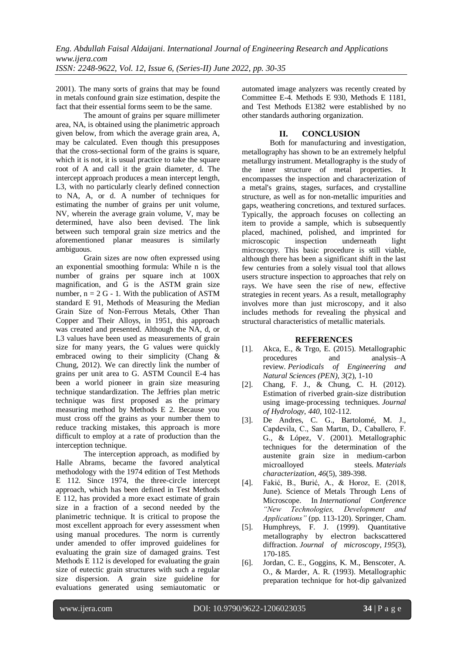2001). The many sorts of grains that may be found in metals confound grain size estimation, despite the fact that their essential forms seem to be the same.

The amount of grains per square millimeter area, NA, is obtained using the planimetric approach given below, from which the average grain area, A, may be calculated. Even though this presupposes that the cross-sectional form of the grains is square, which it is not, it is usual practice to take the square root of A and call it the grain diameter, d. The intercept approach produces a mean intercept length, L3, with no particularly clearly defined connection to NA, A, or d. A number of techniques for estimating the number of grains per unit volume, NV, wherein the average grain volume, V, may be determined, have also been devised. The link between such temporal grain size metrics and the aforementioned planar measures is similarly ambiguous.

Grain sizes are now often expressed using an exponential smoothing formula: While n is the number of grains per square inch at 100X magnification, and G is the ASTM grain size number,  $n = 2 G - 1$ . With the publication of ASTM standard E 91, Methods of Measuring the Median Grain Size of Non-Ferrous Metals, Other Than Copper and Their Alloys, in 1951, this approach was created and presented. Although the NA, d, or L3 values have been used as measurements of grain size for many years, the G values were quickly embraced owing to their simplicity (Chang & Chung, 2012). We can directly link the number of grains per unit area to G. ASTM Council E-4 has been a world pioneer in grain size measuring technique standardization. The Jeffries plan metric technique was first proposed as the primary measuring method by Methods E 2. Because you must cross off the grains as your number them to reduce tracking mistakes, this approach is more difficult to employ at a rate of production than the interception technique.

The interception approach, as modified by Halle Abrams, became the favored analytical methodology with the 1974 edition of Test Methods E 112. Since 1974, the three-circle intercept approach, which has been defined in Test Methods E 112, has provided a more exact estimate of grain size in a fraction of a second needed by the planimetric technique. It is critical to propose the most excellent approach for every assessment when using manual procedures. The norm is currently under amended to offer improved guidelines for evaluating the grain size of damaged grains. Test Methods E 112 is developed for evaluating the grain size of eutectic grain structures with such a regular size dispersion. A grain size guideline for evaluations generated using semiautomatic or automated image analyzers was recently created by Committee E-4. Methods E 930, Methods E 1181, and Test Methods E1382 were established by no other standards authoring organization.

## **II. CONCLUSION**

Both for manufacturing and investigation, metallography has shown to be an extremely helpful metallurgy instrument. Metallography is the study of the inner structure of metal properties. It encompasses the inspection and characterization of a metal's grains, stages, surfaces, and crystalline structure, as well as for non-metallic impurities and gaps, weathering concretions, and textured surfaces. Typically, the approach focuses on collecting an item to provide a sample, which is subsequently placed, machined, polished, and imprinted for microscopic inspection underneath light microscopy. This basic procedure is still viable, although there has been a significant shift in the last few centuries from a solely visual tool that allows users structure inspection to approaches that rely on rays. We have seen the rise of new, effective strategies in recent years. As a result, metallography involves more than just microscopy, and it also includes methods for revealing the physical and structural characteristics of metallic materials.

## **REFERENCES**

- [1]. Akca, E., & Trgo, E. (2015). Metallographic procedures and analysis–A review. *Periodicals of Engineering and Natural Sciences (PEN)*, *3*(2), 1-10
- [2]. Chang, F. J., & Chung, C. H. (2012). Estimation of riverbed grain-size distribution using image-processing techniques. *Journal of Hydrology*, *440*, 102-112.
- [3]. De Andres, C. G., Bartolomé, M. J., Capdevila, C., San Martın, D., Caballero, F. G., & López, V. (2001). Metallographic techniques for the determination of the austenite grain size in medium-carbon microalloyed steels. *Materials characterization*, *46*(5), 389-398.
- [4]. Fakić, B., Burić, A., & Horoz, E. (2018, June). Science of Metals Through Lens of Microscope. In *International Conference "New Technologies, Development and Applications"* (pp. 113-120). Springer, Cham.
- [5]. Humphreys, F. J. (1999). Quantitative metallography by electron backscattered diffraction. *Journal of microscopy*, *195*(3), 170-185.
- [6]. Jordan, C. E., Goggins, K. M., Benscoter, A. O., & Marder, A. R. (1993). Metallographic preparation technique for hot-dip galvanized